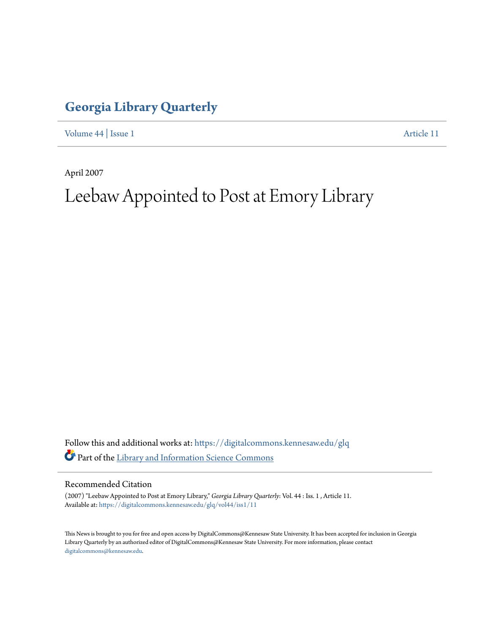## **[Georgia Library Quarterly](https://digitalcommons.kennesaw.edu/glq?utm_source=digitalcommons.kennesaw.edu%2Fglq%2Fvol44%2Fiss1%2F11&utm_medium=PDF&utm_campaign=PDFCoverPages)**

[Volume 44](https://digitalcommons.kennesaw.edu/glq/vol44?utm_source=digitalcommons.kennesaw.edu%2Fglq%2Fvol44%2Fiss1%2F11&utm_medium=PDF&utm_campaign=PDFCoverPages) | [Issue 1](https://digitalcommons.kennesaw.edu/glq/vol44/iss1?utm_source=digitalcommons.kennesaw.edu%2Fglq%2Fvol44%2Fiss1%2F11&utm_medium=PDF&utm_campaign=PDFCoverPages) [Article 11](https://digitalcommons.kennesaw.edu/glq/vol44/iss1/11?utm_source=digitalcommons.kennesaw.edu%2Fglq%2Fvol44%2Fiss1%2F11&utm_medium=PDF&utm_campaign=PDFCoverPages)

April 2007

# Leebaw Appointed to Post at Emory Library

Follow this and additional works at: [https://digitalcommons.kennesaw.edu/glq](https://digitalcommons.kennesaw.edu/glq?utm_source=digitalcommons.kennesaw.edu%2Fglq%2Fvol44%2Fiss1%2F11&utm_medium=PDF&utm_campaign=PDFCoverPages) Part of the [Library and Information Science Commons](http://network.bepress.com/hgg/discipline/1018?utm_source=digitalcommons.kennesaw.edu%2Fglq%2Fvol44%2Fiss1%2F11&utm_medium=PDF&utm_campaign=PDFCoverPages)

#### Recommended Citation

(2007) "Leebaw Appointed to Post at Emory Library," *Georgia Library Quarterly*: Vol. 44 : Iss. 1 , Article 11. Available at: [https://digitalcommons.kennesaw.edu/glq/vol44/iss1/11](https://digitalcommons.kennesaw.edu/glq/vol44/iss1/11?utm_source=digitalcommons.kennesaw.edu%2Fglq%2Fvol44%2Fiss1%2F11&utm_medium=PDF&utm_campaign=PDFCoverPages)

This News is brought to you for free and open access by DigitalCommons@Kennesaw State University. It has been accepted for inclusion in Georgia Library Quarterly by an authorized editor of DigitalCommons@Kennesaw State University. For more information, please contact [digitalcommons@kennesaw.edu.](mailto:digitalcommons@kennesaw.edu)